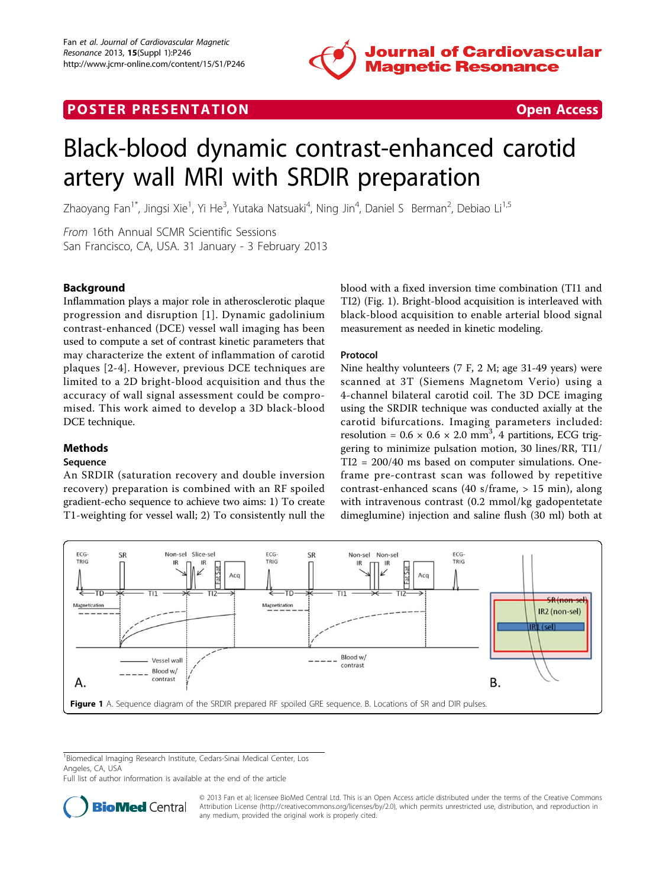

# **POSTER PRESENTATION CONSUMING THE SECOND CONSUMING THE SECOND CONSUMING THE SECOND CONSUMING THE SECOND CONSUMING THE SECOND CONSUMING THE SECOND CONSUMING THE SECOND CONSUMING THE SECOND CONSUMING THE SECOND CONSUMING**



# Black-blood dynamic contrast-enhanced carotid artery wall MRI with SRDIR preparation

Zhaoyang Fan<sup>1\*</sup>, Jingsi Xie<sup>1</sup>, Yi He<sup>3</sup>, Yutaka Natsuaki<sup>4</sup>, Ning Jin<sup>4</sup>, Daniel S Berman<sup>2</sup>, Debiao Li<sup>1,5</sup>

From 16th Annual SCMR Scientific Sessions San Francisco, CA, USA. 31 January - 3 February 2013

# Background

Methods Sequence

Inflammation plays a major role in atherosclerotic plaque progression and disruption [1]. Dynamic gadolinium contrast-enhanced (DCE) vessel wall imaging has been used to compute a set of contrast kinetic parameters that may characterize the extent of inflammation of carotid plaques [2-4]. However, previous DCE techniques are limited to a 2D bright-blood acquisition and thus the accuracy of wall signal assessment could be compromised. This work aimed to develop a 3D black-blood DCE technique.

An SRDIR (saturation recovery and double inversion recovery) preparation is combined with an RF spoiled gradient-echo sequence to achieve two aims: 1) To create T1-weighting for vessel wall; 2) To consistently null the blood with a fixed inversion time combination (TI1 and TI2) (Fig. 1). Bright-blood acquisition is interleaved with black-blood acquisition to enable arterial blood signal measurement as needed in kinetic modeling.

# Protocol

Nine healthy volunteers (7 F, 2 M; age 31-49 years) were scanned at 3T (Siemens Magnetom Verio) using a 4-channel bilateral carotid coil. The 3D DCE imaging using the SRDIR technique was conducted axially at the carotid bifurcations. Imaging parameters included: resolution =  $0.6 \times 0.6 \times 2.0$  mm<sup>3</sup>, 4 partitions, ECG triggering to minimize pulsation motion, 30 lines/RR, TI1/ TI2 = 200/40 ms based on computer simulations. Oneframe pre-contrast scan was followed by repetitive contrast-enhanced scans (40 s/frame, > 15 min), along with intravenous contrast (0.2 mmol/kg gadopentetate dimeglumine) injection and saline flush (30 ml) both at



<sup>1</sup>Biomedical Imaging Research Institute, Cedars-Sinai Medical Center, Los Angeles, CA, USA

Full list of author information is available at the end of the article



© 2013 Fan et al; licensee BioMed Central Ltd. This is an Open Access article distributed under the terms of the Creative Commons Attribution License [\(http://creativecommons.org/licenses/by/2.0](http://creativecommons.org/licenses/by/2.0)), which permits unrestricted use, distribution, and reproduction in any medium, provided the original work is properly cited.